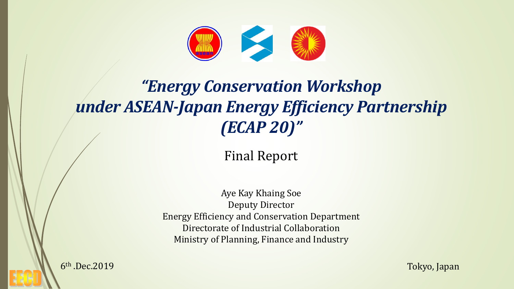

# *"Energy Conservation Workshop under ASEAN-Japan Energy Efficiency Partnership (ECAP 20)"*

### Final Report

Aye Kay Khaing Soe Deputy Director Energy Efficiency and Conservation Department Directorate of Industrial Collaboration Ministry of Planning, Finance and Industry

6<sup>th</sup> .Dec.2019

Tokyo, Japan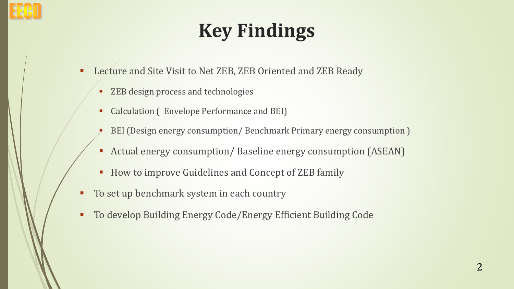# **Key Findings**

- Lecture and Site Visit to Net ZEB, ZEB Oriented and ZEB Ready
	- ZEB design process and technologies
	- Calculation (Envelope Performance and BEI)
	- BEI (Design energy consumption/ Benchmark Primary energy consumption)
	- **EXECTA Actual energy consumption/ Baseline energy consumption (ASEAN)**
	- **EXECUTE: How to improve Guidelines and Concept of ZEB family**
- To set up benchmark system in each country
- To develop Building Energy Code/Energy Efficient Building Code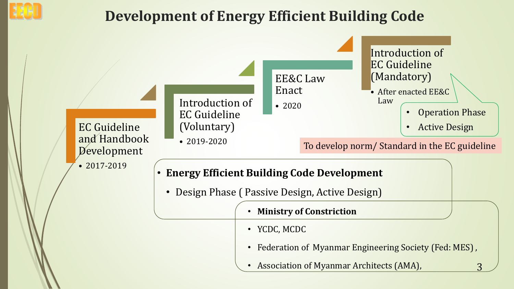

## **Development of Energy Efficient Building Code**